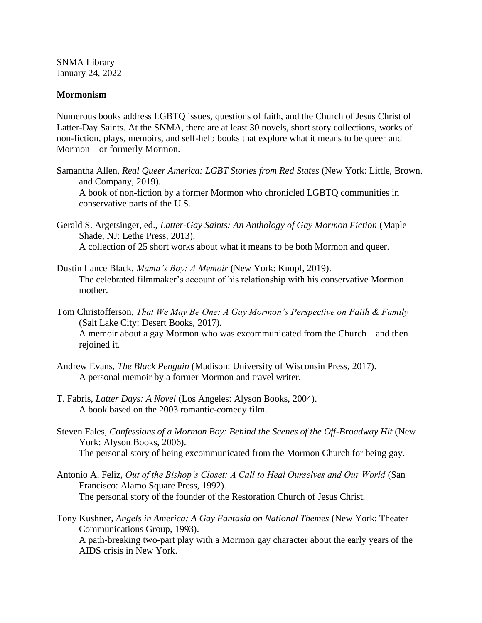SNMA Library January 24, 2022

## **Mormonism**

Numerous books address LGBTQ issues, questions of faith, and the Church of Jesus Christ of Latter-Day Saints. At the SNMA, there are at least 30 novels, short story collections, works of non-fiction, plays, memoirs, and self-help books that explore what it means to be queer and Mormon—or formerly Mormon.

Samantha Allen, *Real Queer America: LGBT Stories from Red States* (New York: Little, Brown, and Company, 2019).

A book of non-fiction by a former Mormon who chronicled LGBTQ communities in conservative parts of the U.S.

- Gerald S. Argetsinger, ed., *Latter-Gay Saints: An Anthology of Gay Mormon Fiction* (Maple Shade, NJ: Lethe Press, 2013). A collection of 25 short works about what it means to be both Mormon and queer.
- Dustin Lance Black, *Mama's Boy: A Memoir* (New York: Knopf, 2019). The celebrated filmmaker's account of his relationship with his conservative Mormon mother.
- Tom Christofferson, *That We May Be One: A Gay Mormon's Perspective on Faith & Family*  (Salt Lake City: Desert Books, 2017). A memoir about a gay Mormon who was excommunicated from the Church—and then rejoined it.
- Andrew Evans, *The Black Penguin* (Madison: University of Wisconsin Press, 2017). A personal memoir by a former Mormon and travel writer.
- T. Fabris, *Latter Days: A Novel* (Los Angeles: Alyson Books, 2004). A book based on the 2003 romantic-comedy film.
- Steven Fales, *Confessions of a Mormon Boy: Behind the Scenes of the Off-Broadway Hit* (New York: Alyson Books, 2006). The personal story of being excommunicated from the Mormon Church for being gay.
- Antonio A. Feliz, *Out of the Bishop's Closet: A Call to Heal Ourselves and Our World* (San Francisco: Alamo Square Press, 1992). The personal story of the founder of the Restoration Church of Jesus Christ.
- Tony Kushner, *Angels in America: A Gay Fantasia on National Themes* (New York: Theater Communications Group, 1993). A path-breaking two-part play with a Mormon gay character about the early years of the AIDS crisis in New York.